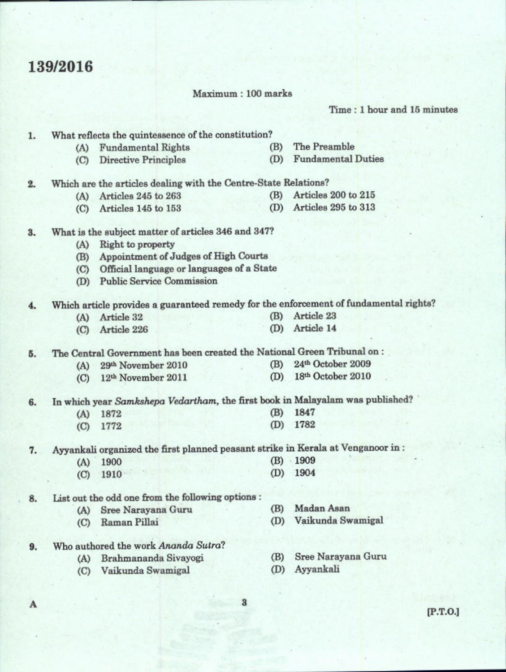## 139/2016

Maximum: 100 marks

Time: 1 hour and 15 minutes

| A  |         |                                                                                  | $\bf{3}$ | [P.T.O.]                                                                              |
|----|---------|----------------------------------------------------------------------------------|----------|---------------------------------------------------------------------------------------|
|    |         |                                                                                  |          |                                                                                       |
|    | (C)     | Vaikunda Swamigal                                                                | (D)      | Ayyankali                                                                             |
| 9. | (A)     | Who authored the work Ananda Sutra?<br>Brahmananda Sivayogi                      | (B)      | Sree Narayana Guru                                                                    |
|    | (C)     | Raman Pillai                                                                     | (D)      | Vaikunda Swamigal                                                                     |
|    | (A)     | Sree Narayana Guru                                                               | (B)      |                                                                                       |
| 8. |         | List out the odd one from the following options :                                |          | Madan Asan                                                                            |
|    |         |                                                                                  |          |                                                                                       |
|    | (C)     | 1910                                                                             | (D)      | 1904                                                                                  |
|    | (A)     | 1900                                                                             | (B)      | 1909                                                                                  |
| 7. |         | Ayyankali organized the first planned peasant strike in Kerala at Venganoor in : |          |                                                                                       |
|    | (C)     | 1772                                                                             | (D)      | 1782                                                                                  |
|    | (A)     | 1872                                                                             | (B)      | 1847                                                                                  |
| 6. |         | In which year Samkshepa Vedartham, the first book in Malayalam was published?    |          |                                                                                       |
|    | (C)     | 12th November 2011                                                               | (D)      | 18th October 2010                                                                     |
|    | (A)     | 29th November 2010                                                               | (B)      | 24th October 2009                                                                     |
| 5. |         | The Central Government has been created the National Green Tribunal on :         |          |                                                                                       |
|    | (C)     | Article 226                                                                      | (D)      | Article 14                                                                            |
|    | (A)     | Article 32                                                                       | (B)      | Article 23                                                                            |
| 4. |         |                                                                                  |          | Which article provides a guaranteed remedy for the enforcement of fundamental rights? |
|    | (D)     | <b>Public Service Commission</b>                                                 |          |                                                                                       |
|    | $\circ$ | Official language or languages of a State                                        |          |                                                                                       |
|    | (B)     | Appointment of Judges of High Courts                                             |          |                                                                                       |
|    | (A)     | Right to property                                                                |          |                                                                                       |
| 3. |         | What is the subject matter of articles 346 and 347?                              |          |                                                                                       |
|    | (C)     | Articles 145 to 153                                                              | (D)      | Articles 295 to 313                                                                   |
|    | (A)     | Articles 245 to 263                                                              | (B)      | Articles 200 to 215                                                                   |
| 2. |         | Which are the articles dealing with the Centre-State Relations?                  |          |                                                                                       |
|    | (C)     | <b>Directive Principles</b>                                                      | (D)      | <b>Fundamental Duties</b>                                                             |
|    | (A)     | <b>Fundamental Rights</b>                                                        | (B)      | The Preamble                                                                          |
| 1. |         | What reflects the quintessence of the constitution?                              |          |                                                                                       |
|    |         |                                                                                  |          |                                                                                       |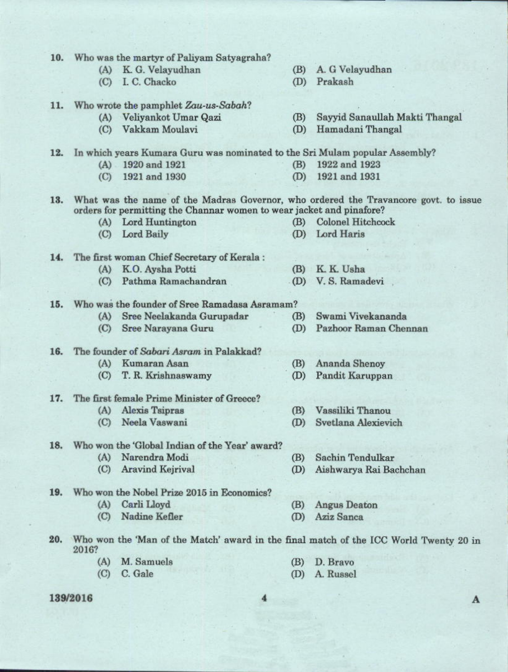| 10. |       | Who was the martyr of Paliyam Satyagraha?                                   |     |                                                                                       |
|-----|-------|-----------------------------------------------------------------------------|-----|---------------------------------------------------------------------------------------|
|     | (A)   | K. G. Velayudhan                                                            | (B) | A. G Velayudhan                                                                       |
|     |       | (C) I. C. Chacko                                                            | (D) | Prakash                                                                               |
| 11. |       | Who wrote the pamphlet Zau-us-Sabah?                                        |     |                                                                                       |
|     |       | (A) Veliyankot Umar Qazi                                                    | (B) | Sayyid Sanaullah Makti Thangal                                                        |
|     | (C)   | Vakkam Moulavi                                                              | (D) | Hamadani Thangal                                                                      |
| 12. |       | In which years Kumara Guru was nominated to the Sri Mulam popular Assembly? |     |                                                                                       |
|     |       | (A) 1920 and 1921                                                           | (B) | 1922 and 1923                                                                         |
|     | (C)   | 1921 and 1930                                                               | (D) | 1921 and 1931                                                                         |
| 13. |       | orders for permitting the Channar women to wear jacket and pinafore?        |     | What was the name of the Madras Governor, who ordered the Travancore govt. to issue   |
|     | (A)   | Lord Huntington                                                             | (B) | <b>Colonel Hitchcock</b>                                                              |
|     | (C)   | Lord Baily                                                                  | (D) | Lord Haris                                                                            |
| 14. |       | The first woman Chief Secretary of Kerala:                                  |     |                                                                                       |
|     | (A)   | K.O. Aysha Potti                                                            | (B) | K. K. Usha                                                                            |
|     | (C)   | Pathma Ramachandran                                                         |     | (D) V.S. Ramadevi                                                                     |
| 15. |       | Who was the founder of Sree Ramadasa Asramam?                               |     |                                                                                       |
|     | (A)   | Sree Neelakanda Gurupadar                                                   | (B) | Swami Vivekananda                                                                     |
|     | (C)   | Sree Narayana Guru                                                          | (D) | Pazhoor Raman Chennan                                                                 |
| 16. |       | The founder of Sabari Asram in Palakkad?                                    |     |                                                                                       |
|     | (A)   | Kumaran Asan                                                                | (B) | Ananda Shenoy                                                                         |
|     | (C)   | T. R. Krishnaswamy                                                          | (D) | Pandit Karuppan                                                                       |
|     |       |                                                                             |     |                                                                                       |
| 17. |       | The first female Prime Minister of Greece?                                  |     |                                                                                       |
|     | (A)   | <b>Alexis Tsipras</b>                                                       | (B) | Vassiliki Thanou                                                                      |
|     | (C)   | Neela Vaswani                                                               | (D) | Svetlana Alexievich                                                                   |
| 18. |       | Who won the 'Global Indian of the Year' award?                              |     |                                                                                       |
|     | (A)   | Narendra Modi                                                               | (B) | Sachin Tendulkar                                                                      |
|     | (C)   | <b>Aravind Kejrival</b>                                                     | (D) | Aishwarya Rai Bachchan                                                                |
| 19. |       | Who won the Nobel Prize 2015 in Economics?                                  |     |                                                                                       |
|     | (A)   | Carli Lloyd                                                                 | (B) | <b>Angus Deaton</b>                                                                   |
|     | (C)   | Nadine Kefler                                                               | (D) | Aziz Sanca                                                                            |
| 20. | 2016? |                                                                             |     | Who won the 'Man of the Match' award in the final match of the ICC World Twenty 20 in |
|     | (A)   | M. Samuels                                                                  | (B) | D. Bravo                                                                              |
|     | (C)   | C. Gale                                                                     | (D) | A. Russel                                                                             |

139/2016

 $\mathbf A$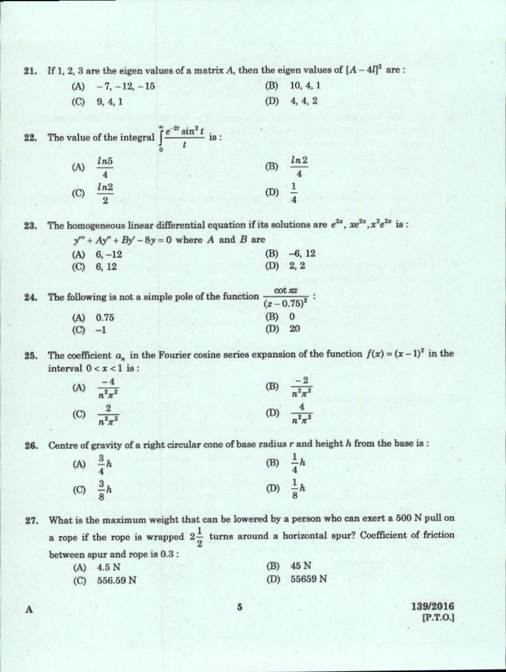21. If 1, 2, 3 are the eigen values of a matrix A, then the eigen values of  $[A - 4I]^2$  are:

 $(A)$  -7, -12, -15  $(B)$  10, 4, 1 (D)  $4, 4, 2$  $(C)$  9, 4, 1

The value of the integral  $\int_{0}^{\infty} \frac{e^{-2t} \sin^2 t}{t}$  is : 22. (A)  $\frac{ln 5}{4}$ (B)  $\frac{ln 2}{4}$ (C)  $\frac{ln2}{2}$ (D)  $\frac{1}{4}$ 

The homogeneous linear differential equation if its solutions are  $e^{2x}$ ,  $xe^{2x}$ ,  $x^2e^{2x}$  is: 23.

| $y''' + Ay'' + By' - 8y = 0$ where A and B are |              |
|------------------------------------------------|--------------|
| $(A) 6, -12$                                   | $(B) -6, 12$ |
| $(C)$ 6, 12                                    | $(D)$ 2, 2   |

| 24. | The following is not a simple pole of the function $\frac{1}{(z-0.75)^2}$ : |            |          |  |  |
|-----|-----------------------------------------------------------------------------|------------|----------|--|--|
|     |                                                                             |            |          |  |  |
|     |                                                                             | $(A)$ 0.75 | (B) 0    |  |  |
|     | $\left($ C                                                                  | $-1$       | $(D)$ 20 |  |  |

The coefficient  $a_n$  in the Fourier cosine series expansion of the function  $f(x) = (x-1)^2$  in the 25. interval  $0 < x < 1$  is:

| (A) $\frac{-4}{n^2 \pi^2}$ | (B) $\frac{-2}{n^2 \pi^2}$ |
|----------------------------|----------------------------|
| (C) $\frac{2}{n^2 \pi^2}$  | (D) $\frac{4}{n^2 \pi^2}$  |

Centre of gravity of a right circular cone of base radius r and height h from the base is: 26.

| (A) $\frac{3}{4}h$ | (B) $\frac{1}{4}h$ |  |
|--------------------|--------------------|--|
| (C) $\frac{3}{8}h$ | (D) $\frac{1}{8}h$ |  |

What is the maximum weight that can be lowered by a person who can exert a 500 N pull on 27. a rope if the rope is wrapped  $2\frac{1}{2}$  turns around a horizontal spur? Coefficient of friction between spur and rope is 0.3 :

| $(A)$ 4.5 N    | $(B)$ 45 N    |
|----------------|---------------|
| $(C)$ 556.59 N | (D) $55659 N$ |

139/2016  $[P.T.O.]$ 

5

A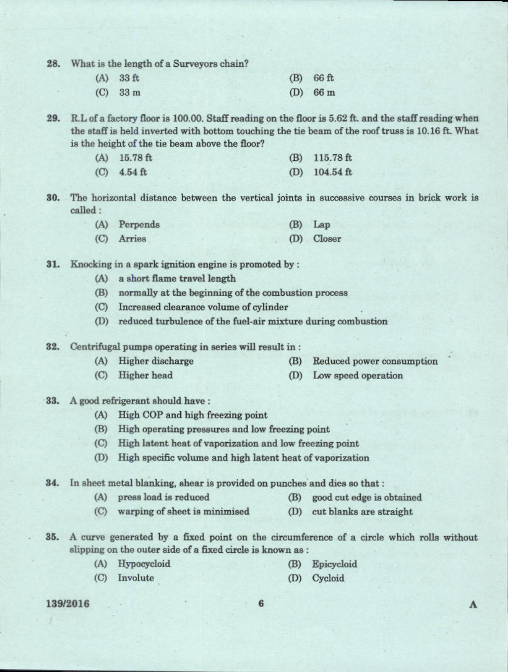What is the length of a Surveyors chain? 28.

| $(A)$ 33 ft | $(B)$ 66 ft        |
|-------------|--------------------|
| $(C)$ 33 m  | (D) $66 \text{ m}$ |

R.L of a factory floor is 100.00. Staff reading on the floor is 5.62 ft. and the staff reading when  $29.$ the staff is held inverted with bottom touching the tie beam of the roof truss is 10.16 ft. What is the height of the tie beam above the floor?

| $(A)$ 15.78 ft | $(B)$ 115.78 ft         |
|----------------|-------------------------|
| (C) $4.54$ ft  | (D) $104.54 \text{ ft}$ |

30. The horizontal distance between the vertical joints in successive courses in brick work is called :

| (A) Perpends | $(B)$ Lap  |
|--------------|------------|
| (C) Arries   | (D) Closer |

31. Knocking in a spark ignition engine is promoted by:

- (A) a short flame travel length
- (B) normally at the beginning of the combustion process
- (C) Increased clearance volume of cylinder
- (D) reduced turbulence of the fuel-air mixture during combustion

32. Centrifugal pumps operating in series will result in:

- (A) Higher discharge
- (B) Reduced power consumption
- (C) Higher head
- (D) Low speed operation

33. A good refrigerant should have:

- (A) High COP and high freezing point
- (B) High operating pressures and low freezing point
- (C) High latent heat of vaporization and low freezing point
- (D) High specific volume and high latent heat of vaporization

34. In sheet metal blanking, shear is provided on punches and dies so that :

- (A) press load is reduced (B)
	- good cut edge is obtained
- (C) warping of sheet is minimised (D) cut blanks are straight

35. A curve generated by a fixed point on the circumference of a circle which rolls without slipping on the outer side of a fixed circle is known as :

- (A) Hypocycloid
- (B) Epicycloid

(D) Cycloid

(C) Involute

## 139/2016

 $\Lambda$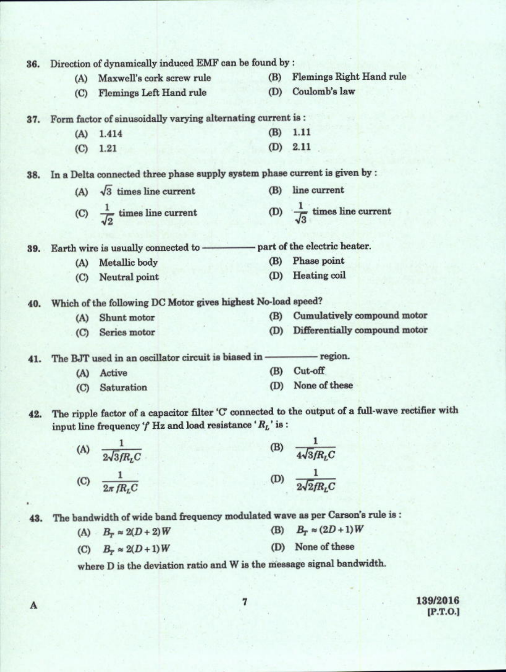| 36. |             | Direction of dynamically induced EMF can be found by :                        |            |                                                                                                   |
|-----|-------------|-------------------------------------------------------------------------------|------------|---------------------------------------------------------------------------------------------------|
|     | (A)         | Maxwell's cork screw rule                                                     | (B)        | <b>Flemings Right Hand rule</b>                                                                   |
|     | (C)         | <b>Flemings Left Hand rule</b>                                                | (D)        | Coulomb's law                                                                                     |
| 37. |             | Form factor of sinusoidally varying alternating current is :                  |            |                                                                                                   |
|     | (A)         | 1.414                                                                         | (B)        | 1.11                                                                                              |
|     | (C)         | 1.21                                                                          | (D)        | 2.11                                                                                              |
| 38. |             | In a Delta connected three phase supply system phase current is given by :    |            |                                                                                                   |
|     |             | (A) $\sqrt{3}$ times line current                                             |            | (B) line current                                                                                  |
|     |             | (C) $\frac{1}{\sqrt{2}}$ times line current                                   |            | (D) $\frac{1}{\sqrt{3}}$ times line current                                                       |
| 39. |             | Earth wire is usually connected to -                                          |            | part of the electric heater.                                                                      |
|     | (A)         | Metallic body                                                                 | <b>(B)</b> | Phase point                                                                                       |
|     | (C)         | Neutral point                                                                 | (D)        | Heating coil                                                                                      |
| 40. |             | Which of the following DC Motor gives highest No-load speed?                  |            |                                                                                                   |
|     | (A)         | Shunt motor                                                                   | (B)        | Cumulatively compound motor                                                                       |
|     | $\circ$     | Series motor                                                                  | (D)        | Differentially compound motor                                                                     |
| 41. |             | The BJT used in an oscillator circuit is biased in - region.                  |            |                                                                                                   |
|     | (A)         | Active                                                                        | (B)        | Cut-off                                                                                           |
|     | $\left($ C) | Saturation                                                                    | (D)        | None of these                                                                                     |
| 42. |             | input line frequency $f$ Hz and load resistance $R_L$ is:                     |            | The ripple factor of a capacitor filter 'C' connected to the output of a full-wave rectifier with |
|     | (A)         |                                                                               | (B)        | $\frac{1}{4\sqrt{3}/R_LC}$ $\frac{1}{2\sqrt{2}/R_LC}$                                             |
|     |             | (A) $\frac{1}{2\sqrt{3}fR_{L}C}$<br>(C) $\frac{1}{2\pi fR_{L}C}$              | (D)        |                                                                                                   |
| 43. |             | The bandwidth of wide band frequency modulated wave as per Carson's rule is : |            |                                                                                                   |
|     |             | (A) $B_r \approx 2(D+2)W$                                                     | (B)        | $B_T \approx (2D+1)W$                                                                             |
|     |             | (C) $B_r \approx 2(D+1)W$                                                     | (D)        | None of these                                                                                     |
|     |             | where D is the deviation ratio and W is the message signal bandwidth.         |            |                                                                                                   |

 $139/2016$ <br>[P.T.O.]

 $\overline{7}$ 

×

 $\mathbf A$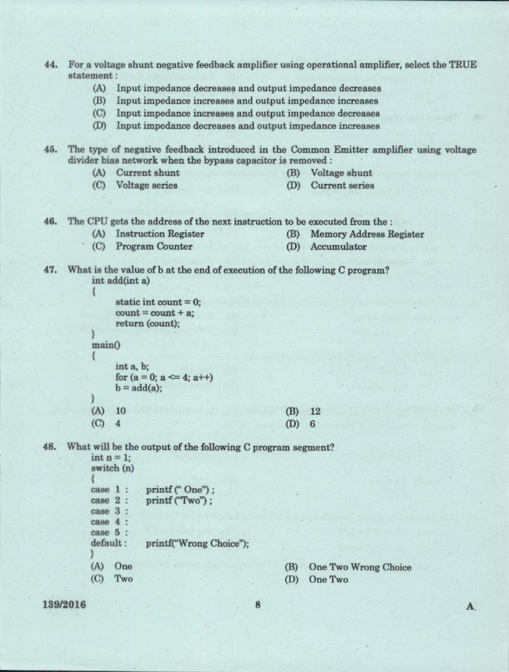- $44.$ For a voltage shunt negative feedback amplifier using operational amplifier, select the TRUE statement:
	- (A) Input impedance decreases and output impedance decreases
	- (B) Input impedance increases and output impedance increases
	- $(C)$ Input impedance increases and output impedance decreases
	- (D) Input impedance decreases and output impedance increases

45. The type of negative feedback introduced in the Common Emitter amplifier using voltage divider bias network when the bypass capacitor is removed :

(A) Current shunt

Voltage shunt (B)

(C) Voltage series

(D) Current series

46. The CPU gets the address of the next instruction to be executed from the :

- (A) Instruction Register (B) Memory Address Register
- $(C)$ **Program Counter** (D) Accumulator
- What is the value of b at the end of execution of the following C program? 47. int add(int a)

3 static int count  $= 0$ ;  $count = count + a$ ; return (count):  $main()$ int a, b: for  $(a = 0; a \le 4; a++)$  $b = add(a);$  $(A)$ 10  $(B)$ 12  $(C)$  $\boldsymbol{A}$  $(D)$ 6

What will be the output of the following C program segment? 48.

> $int n = 1$ ; switch (n) printf ("One"); case 1: printf ("Two"): case 2: case 3 :  $case 4:$ case 5 : default: printf("Wrong Choice");  $(A)$  One  $(C)$ Two

One Two Wrong Choice (B)

(D) One Two

139/2016

 $\mathbf{A}$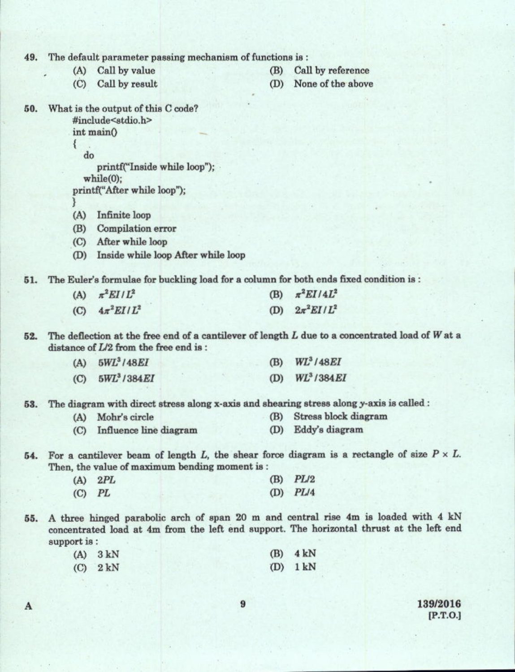49. The default parameter passing mechanism of functions is:

- (A) Call by value
- Call by result  $(C)$
- Call by reference (B)
- (D) None of the above
- What is the output of this C code? 50. #include<stdio.h>

 $int main()$ 

do

₹

printf("Inside while loop");

 $while(0):$ 

printf("After while loop");

A

- (A) Infinite loop
- (B) Compilation error
- (C) After while loop
- (D) Inside while loop After while loop

The Euler's formulae for buckling load for a column for both ends fixed condition is: 51.

| (A) $\pi^2 EI/L^2$     | (B) $\pi^2 EI/4L^2$ |
|------------------------|---------------------|
| (C) $4\pi^2 E I / L^2$ | (D) $2\pi^2 EI/L^2$ |

The deflection at the free end of a cantilever of length  $L$  due to a concentrated load of  $W$  at a 52. distance of  $L/2$  from the free end is:

| (A)       | $5WL^3/48EI$             | (B) | <b>WL</b> <sup>3</sup> /48EI |
|-----------|--------------------------|-----|------------------------------|
| $\left( $ | 5WL <sup>3</sup> / 384EI | (D) | WL <sup>3</sup> /384EI       |

The diagram with direct stress along x-axis and shearing stress along y-axis is called : 53.

- Stress block diagram (A) Mohr's circle (B)
- (C) Influence line diagram (D) Eddy's diagram
- 54. For a cantilever beam of length L, the shear force diagram is a rectangle of size  $P \times L$ . Then, the value of maximum bending moment is:

| $(A)$ 2PL  | $(B)$ $PL/2$ |
|------------|--------------|
| $(C)$ $PL$ | $(D)$ $PL/4$ |

A three hinged parabolic arch of span 20 m and central rise 4m is loaded with 4 kN 55. concentrated load at 4m from the left end support. The horizontal thrust at the left end support is:

| $(A)$ 3 kN | $(B)$ 4 kN |
|------------|------------|
| $(C)$ 2 kN | $(D)$ 1 kN |

139/2016  $[P.T.O.]$ 

9